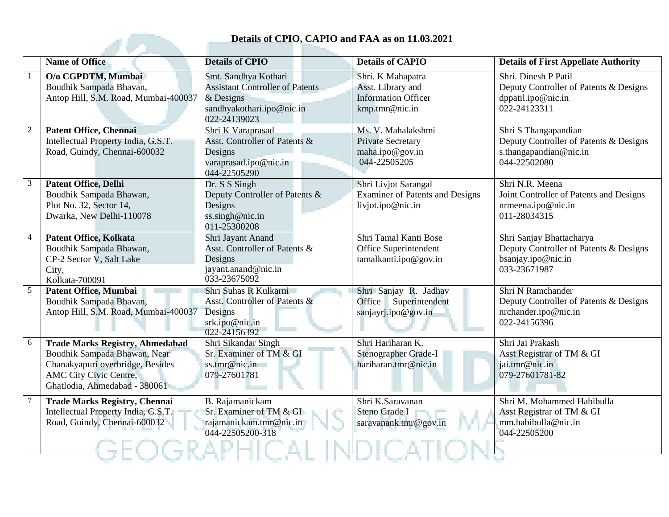## **Details of CPIO, CAPIO and FAA as on 11.03.2021**

|                | Details of CPIO, CAPIO and FAA as on 11.03.2021                                                                                                                              |                                                                                                                            |                                                                                        |                                                                                                          |  |
|----------------|------------------------------------------------------------------------------------------------------------------------------------------------------------------------------|----------------------------------------------------------------------------------------------------------------------------|----------------------------------------------------------------------------------------|----------------------------------------------------------------------------------------------------------|--|
|                | <b>Name of Office</b>                                                                                                                                                        | <b>Details of CPIO</b>                                                                                                     | <b>Details of CAPIO</b>                                                                | <b>Details of First Appellate Authority</b>                                                              |  |
|                | O/o CGPDTM, Mumbai<br>Boudhik Sampada Bhavan,<br>Antop Hill, S.M. Road, Mumbai-400037                                                                                        | Smt. Sandhya Kothari<br><b>Assistant Controller of Patents</b><br>$&$ Designs<br>sandhyakothari.ipo@nic.in<br>022-24139023 | Shri. K Mahapatra<br>Asst. Library and<br><b>Information Officer</b><br>kmp.tmr@nic.in | Shri. Dinesh P Patil<br>Deputy Controller of Patents & Designs<br>dppatil.ipo@nic.in<br>022-24123311     |  |
|                | <b>Patent Office, Chennai</b><br>Intellectual Property India, G.S.T.<br>Road, Guindy, Chennai-600032                                                                         | Shri K Varaprasad<br>Asst. Controller of Patents &<br>Designs<br>varaprasad.ipo@nic.in<br>044-22505290                     | Ms. V. Mahalakshmi<br>Private Secretary<br>maha.ipo@gov.in<br>044-22505205             | Shri S Thangapandian<br>Deputy Controller of Patents & Designs<br>s.thangapandian@nic.in<br>044-22502080 |  |
| 3              | <b>Patent Office, Delhi</b><br>Boudhik Sampada Bhawan,<br>Plot No. 32, Sector 14,<br>Dwarka, New Delhi-110078                                                                | Dr. S S Singh<br>Deputy Controller of Patents &<br>Designs<br>ss.singh@nic.in<br>011-25300208                              | Shri Livjot Sarangal<br><b>Examiner of Patents and Designs</b><br>livjot.ipo@nic.in    | Shri N.R. Meena<br>Joint Controller of Patents and Designs<br>nrmeena.ipo@nic.in<br>011-28034315         |  |
| $\overline{4}$ | <b>Patent Office, Kolkata</b><br>Boudhik Sampada Bhawan,<br>CP-2 Sector V, Salt Lake<br>City,<br>Kolkata-700091                                                              | Shri Jayant Anand<br>Asst. Controller of Patents &<br>Designs<br>jayant.anand@nic.in<br>033-23675092                       | Shri Tamal Kanti Bose<br>Office Superintendent<br>tamalkanti.ipo@gov.in                | Shri Sanjay Bhattacharya<br>Deputy Controller of Patents & Designs<br>bsanjay.ipo@nic.in<br>033-23671987 |  |
| 5              | <b>Patent Office, Mumbai</b><br>Boudhik Sampada Bhavan,<br>Antop Hill, S.M. Road, Mumbai-400037                                                                              | Shri Suhas R Kulkarni<br>Asst. Controller of Patents &<br>Designs<br>srk.ipo@nic.in<br>022-24156392                        | Shri Sanjay R. Jadhav<br>Superintendent<br>Office<br>sanjayrj.ipo@gov.in               | Shri N Ramchander<br>Deputy Controller of Patents & Designs<br>nrchander.ipo@nic.in<br>022-24156396      |  |
| 6              | <b>Trade Marks Registry, Ahmedabad</b><br>Boudhik Sampada Bhawan, Near<br>Chanakyapuri overbridge, Besides<br><b>AMC City Civic Centre,</b><br>Ghatlodia, Ahmedabad - 380061 | Shri Sikandar Singh<br>Sr. Examiner of TM & GI<br>ss.tmr@nic.in<br>079-27601781                                            | Shri Hariharan K.<br>Stenographer Grade-I<br>hariharan.tmr@nic.in                      | Shri Jai Prakash<br>Asst Registrar of TM & GI<br>jai.tmr@nic.in<br>079-27601781-82                       |  |
|                | <b>Trade Marks Registry, Chennai</b><br>Intellectual Property India, G.S.T.<br>Road, Guindy, Chennai-600032                                                                  | B. Rajamanickam<br>Sr. Examiner of TM & GI<br>rajamanickam.tmr@nic.in<br>044-22505200-318                                  | Shri K.Saravanan<br>Steno Grade I<br>saravanank.tmr@gov.in                             | Shri M. Mohammed Habibulla<br>Asst Registrar of TM & GI<br>mm.habibulla@nic.in<br>044-22505200           |  |
|                |                                                                                                                                                                              |                                                                                                                            |                                                                                        |                                                                                                          |  |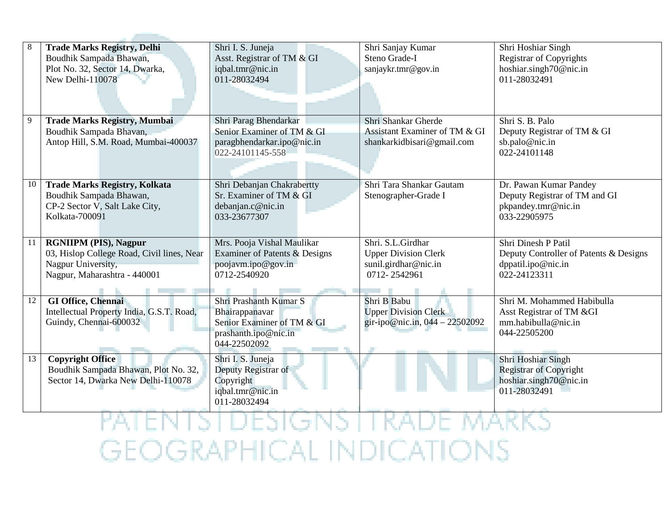| 8  | <b>Trade Marks Registry, Delhi</b><br>Boudhik Sampada Bhawan,<br>Plot No. 32, Sector 14, Dwarka,<br>New Delhi-110078             | Shri I. S. Juneja<br>Asst. Registrar of TM & GI<br>iqbal.tmr@nic.in<br>011-28032494                            | Shri Sanjay Kumar<br>Steno Grade-I<br>sanjaykr.tmr@gov.in                                | Shri Hoshiar Singh<br><b>Registrar of Copyrights</b><br>hoshiar.singh70@nic.in<br>011-28032491             |
|----|----------------------------------------------------------------------------------------------------------------------------------|----------------------------------------------------------------------------------------------------------------|------------------------------------------------------------------------------------------|------------------------------------------------------------------------------------------------------------|
| 9  | <b>Trade Marks Registry, Mumbai</b><br>Boudhik Sampada Bhavan,<br>Antop Hill, S.M. Road, Mumbai-400037                           | Shri Parag Bhendarkar<br>Senior Examiner of TM & GI<br>paragbhendarkar.ipo@nic.in<br>022-24101145-558          | Shri Shankar Gherde<br>Assistant Examiner of TM & GI<br>shankarkidbisari@gmail.com       | Shri S. B. Palo<br>Deputy Registrar of TM & GI<br>sb.palo@nic.in<br>022-24101148                           |
| 10 | <b>Trade Marks Registry, Kolkata</b><br>Boudhik Sampada Bhawan,<br>CP-2 Sector V, Salt Lake City,<br>Kolkata-700091              | Shri Debanjan Chakrabertty<br>Sr. Examiner of TM & GI<br>debanjan.c@nic.in<br>033-23677307                     | Shri Tara Shankar Gautam<br>Stenographer-Grade I                                         | Dr. Pawan Kumar Pandey<br>Deputy Registrar of TM and GI<br>pkpandey.tmr@nic.in<br>033-22905975             |
| 11 | <b>RGNIIPM (PIS), Nagpur</b><br>03, Hislop College Road, Civil lines, Near<br>Nagpur University,<br>Nagpur, Maharashtra - 440001 | Mrs. Pooja Vishal Maulikar<br>Examiner of Patents & Designs<br>poojavm.ipo@gov.in<br>0712-2540920              | Shri. S.L.Girdhar<br><b>Upper Division Clerk</b><br>sunil.girdhar@nic.in<br>0712-2542961 | <b>Shri Dinesh P Patil</b><br>Deputy Controller of Patents & Designs<br>dppatil.ipo@nic.in<br>022-24123311 |
| 12 | <b>GI Office, Chennai</b><br>Intellectual Property India, G.S.T. Road,<br>Guindy, Chennai-600032                                 | Shri Prashanth Kumar S<br>Bhairappanavar<br>Senior Examiner of TM & GI<br>prashanth.ipo@nic.in<br>044-22502092 | Shri B Babu<br><b>Upper Division Clerk</b><br>gir-ipo@nic.in, 044 - 22502092             | Shri M. Mohammed Habibulla<br>Asst Registrar of TM &GI<br>mm.habibulla@nic.in<br>044-22505200              |
| 13 | <b>Copyright Office</b><br>Boudhik Sampada Bhawan, Plot No. 32,<br>Sector 14, Dwarka New Delhi-110078                            | Shri I. S. Juneja<br>Deputy Registrar of<br>Copyright<br>iqbal.tmr@nic.in<br>011-28032494                      |                                                                                          | Shri Hoshiar Singh<br><b>Registrar of Copyright</b><br>hoshiar.singh70@nic.in<br>011-28032491              |

and the property of the con-

PATENTSTUESIGNSTI KADE MAKKS **GEOGRAPHICAL INDICATIONS**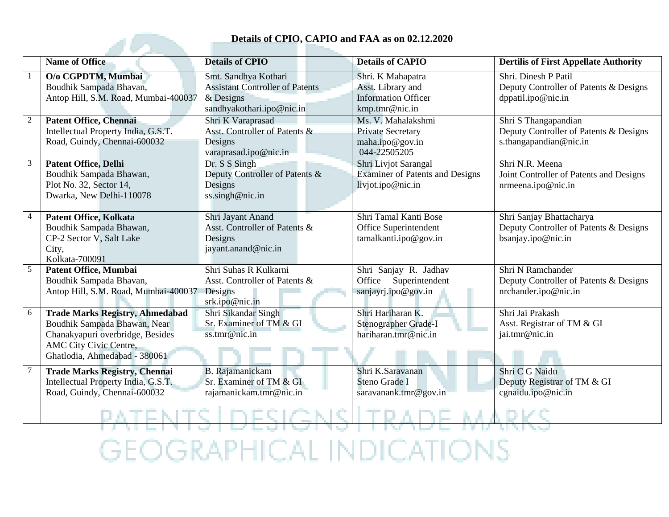## **Details of CPIO, CAPIO and FAA as on 02.12.2020**

|                | Details of CPIO, CAPIO and FAA as on 02.12.2020                                                                                                                       |                                                                                                            |                                                                                        |                                                                                          |  |
|----------------|-----------------------------------------------------------------------------------------------------------------------------------------------------------------------|------------------------------------------------------------------------------------------------------------|----------------------------------------------------------------------------------------|------------------------------------------------------------------------------------------|--|
|                | <b>Name of Office</b>                                                                                                                                                 | <b>Details of CPIO</b>                                                                                     | <b>Details of CAPIO</b>                                                                | <b>Dertilis of First Appellate Authority</b>                                             |  |
|                | O/o CGPDTM, Mumbai<br>Boudhik Sampada Bhavan,<br>Antop Hill, S.M. Road, Mumbai-400037                                                                                 | Smt. Sandhya Kothari<br><b>Assistant Controller of Patents</b><br>$&$ Designs<br>sandhyakothari.ipo@nic.in | Shri. K Mahapatra<br>Asst. Library and<br><b>Information Officer</b><br>kmp.tmr@nic.in | Shri. Dinesh P Patil<br>Deputy Controller of Patents & Designs<br>dppatil.ipo@nic.in     |  |
| $\overline{2}$ | <b>Patent Office, Chennai</b><br>Intellectual Property India, G.S.T.<br>Road, Guindy, Chennai-600032                                                                  | Shri K Varaprasad<br>Asst. Controller of Patents &<br>Designs<br>varaprasad.ipo@nic.in                     | Ms. V. Mahalakshmi<br><b>Private Secretary</b><br>maha.ipo@gov.in<br>044-22505205      | Shri S Thangapandian<br>Deputy Controller of Patents & Designs<br>s.thangapandian@nic.in |  |
| 3              | <b>Patent Office, Delhi</b><br>Boudhik Sampada Bhawan,<br>Plot No. 32, Sector 14,<br>Dwarka, New Delhi-110078                                                         | Dr. S S Singh<br>Deputy Controller of Patents &<br>Designs<br>ss.singh@nic.in                              | Shri Livjot Sarangal<br><b>Examiner of Patents and Designs</b><br>livjot.ipo@nic.in    | Shri N.R. Meena<br>Joint Controller of Patents and Designs<br>nrmeena.ipo@nic.in         |  |
| $\overline{4}$ | <b>Patent Office, Kolkata</b><br>Boudhik Sampada Bhawan,<br>CP-2 Sector V, Salt Lake<br>City,<br>Kolkata-700091                                                       | Shri Jayant Anand<br>Asst. Controller of Patents &<br>Designs<br>jayant.anand@nic.in                       | Shri Tamal Kanti Bose<br>Office Superintendent<br>tamalkanti.ipo@gov.in                | Shri Sanjay Bhattacharya<br>Deputy Controller of Patents & Designs<br>bsanjay.ipo@nic.in |  |
| $\sqrt{5}$     | Patent Office, Mumbai<br>Boudhik Sampada Bhavan,<br>Antop Hill, S.M. Road, Mumbai-400037                                                                              | Shri Suhas R Kulkarni<br>Asst. Controller of Patents &<br>Designs<br>srk.ipo@nic.in                        | Shri Sanjay R. Jadhav<br>Office Superintendent<br>sanjayrj.ipo@gov.in                  | Shri N Ramchander<br>Deputy Controller of Patents & Designs<br>nrchander.ipo@nic.in      |  |
| 6              | <b>Trade Marks Registry, Ahmedabad</b><br>Boudhik Sampada Bhawan, Near<br>Chanakyapuri overbridge, Besides<br>AMC City Civic Centre,<br>Ghatlodia, Ahmedabad - 380061 | Shri Sikandar Singh<br>Sr. Examiner of TM & GI<br>ss.tmr@nic.in                                            | Shri Hariharan K.<br>Stenographer Grade-I<br>hariharan.tmr@nic.in                      | Shri Jai Prakash<br>Asst. Registrar of TM & GI<br>jai.tmr@nic.in                         |  |
|                | <b>Trade Marks Registry, Chennai</b><br>Intellectual Property India, G.S.T.<br>Road, Guindy, Chennai-600032                                                           | <b>B.</b> Rajamanickam<br>Sr. Examiner of TM & GI<br>rajamanickam.tmr@nic.in                               | Shri K.Saravanan<br>Steno Grade I<br>saravanank.tmr@gov.in                             | Shri C G Naidu<br>Deputy Registrar of TM & GI<br>cgnaidu.ipo@nic.in                      |  |
|                |                                                                                                                                                                       |                                                                                                            |                                                                                        |                                                                                          |  |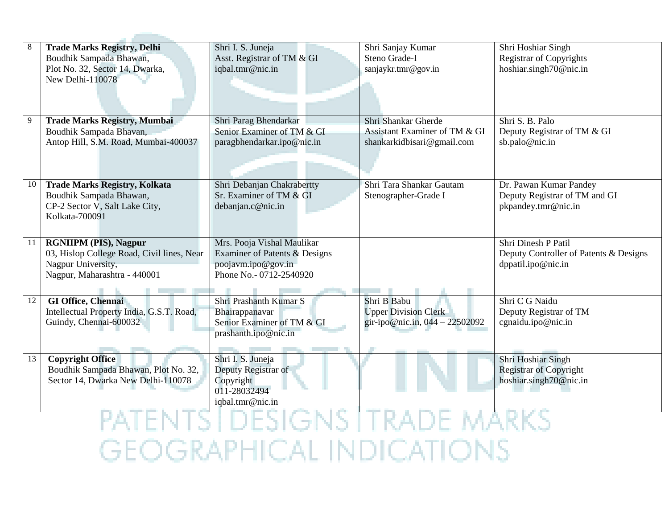| 8  | <b>Trade Marks Registry, Delhi</b>         | Shri I. S. Juneja             | Shri Sanjay Kumar              | Shri Hoshiar Singh                     |
|----|--------------------------------------------|-------------------------------|--------------------------------|----------------------------------------|
|    | Boudhik Sampada Bhawan,                    | Asst. Registrar of TM & GI    | Steno Grade-I                  | <b>Registrar of Copyrights</b>         |
|    | Plot No. 32, Sector 14, Dwarka,            | iqbal.tmr@nic.in              | sanjaykr.tmr@gov.in            | hoshiar.singh70@nic.in                 |
|    | New Delhi-110078                           |                               |                                |                                        |
|    |                                            |                               |                                |                                        |
|    |                                            |                               |                                |                                        |
| 9  | <b>Trade Marks Registry, Mumbai</b>        | Shri Parag Bhendarkar         | Shri Shankar Gherde            | Shri S. B. Palo                        |
|    | Boudhik Sampada Bhavan,                    | Senior Examiner of TM & GI    | Assistant Examiner of TM & GI  | Deputy Registrar of TM & GI            |
|    | Antop Hill, S.M. Road, Mumbai-400037       | paragbhendarkar.ipo@nic.in    | shankarkidbisari@gmail.com     | sb.palo@nic.in                         |
|    |                                            |                               |                                |                                        |
|    |                                            |                               |                                |                                        |
|    |                                            |                               |                                |                                        |
| 10 | <b>Trade Marks Registry, Kolkata</b>       | Shri Debanjan Chakrabertty    | Shri Tara Shankar Gautam       | Dr. Pawan Kumar Pandey                 |
|    | Boudhik Sampada Bhawan,                    | Sr. Examiner of TM & GI       | Stenographer-Grade I           | Deputy Registrar of TM and GI          |
|    | CP-2 Sector V, Salt Lake City,             | debanjan.c@nic.in             |                                | pkpandey.tmr@nic.in                    |
|    | Kolkata-700091                             |                               |                                |                                        |
|    |                                            |                               |                                |                                        |
| 11 | <b>RGNIIPM (PIS), Nagpur</b>               | Mrs. Pooja Vishal Maulikar    |                                | Shri Dinesh P Patil                    |
|    | 03, Hislop College Road, Civil lines, Near | Examiner of Patents & Designs |                                | Deputy Controller of Patents & Designs |
|    | Nagpur University,                         | poojavm.ipo@gov.in            |                                | dppatil.ipo@nic.in                     |
|    | Nagpur, Maharashtra - 440001               | Phone No. - 0712-2540920      |                                |                                        |
|    |                                            |                               |                                |                                        |
| 12 | <b>GI Office, Chennai</b>                  | Shri Prashanth Kumar S        | Shri B Babu                    | Shri C G Naidu                         |
|    | Intellectual Property India, G.S.T. Road,  | Bhairappanavar                | <b>Upper Division Clerk</b>    | Deputy Registrar of TM                 |
|    | Guindy, Chennai-600032                     | Senior Examiner of TM & GI    | gir-ipo@nic.in, 044 - 22502092 | cgnaidu.ipo@nic.in                     |
|    |                                            | prashanth.ipo@nic.in          |                                |                                        |
|    |                                            |                               |                                |                                        |
| 13 | <b>Copyright Office</b>                    | Shri I. S. Juneja             |                                | Shri Hoshiar Singh                     |
|    | Boudhik Sampada Bhawan, Plot No. 32,       | Deputy Registrar of           |                                | <b>Registrar of Copyright</b>          |
|    | Sector 14, Dwarka New Delhi-110078         | Copyright                     |                                | hoshiar.singh70@nic.in                 |
|    |                                            | 011-28032494                  |                                |                                        |
|    |                                            | iqbal.tmr@nic.in              |                                |                                        |
|    |                                            |                               |                                |                                        |
|    |                                            |                               |                                |                                        |

**Contract Contract Contract** 

**GEOGRAPHICAL INDICATIONS**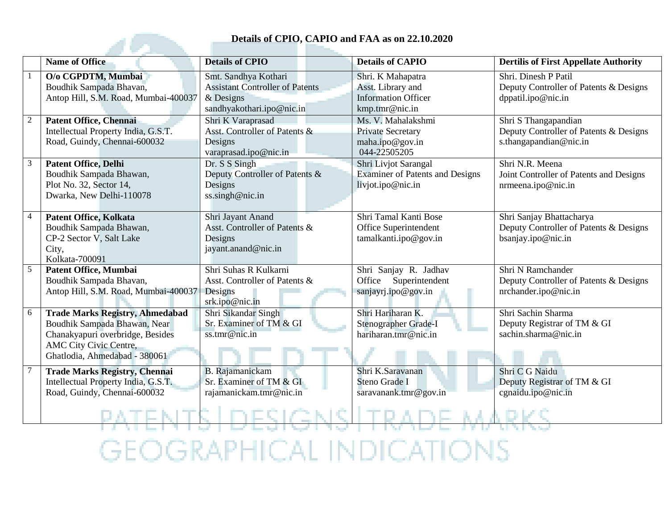## **Details of CPIO, CAPIO and FAA as on 22.10.2020**

|                | Details of CPIO, CAPIO and FAA as on 22.10.2020                                                                                                                       |                                                                                                            |                                                                                        |                                                                                          |  |
|----------------|-----------------------------------------------------------------------------------------------------------------------------------------------------------------------|------------------------------------------------------------------------------------------------------------|----------------------------------------------------------------------------------------|------------------------------------------------------------------------------------------|--|
|                | <b>Name of Office</b>                                                                                                                                                 | <b>Details of CPIO</b>                                                                                     | <b>Details of CAPIO</b>                                                                | <b>Dertilis of First Appellate Authority</b>                                             |  |
|                | O/o CGPDTM, Mumbai<br>Boudhik Sampada Bhavan,<br>Antop Hill, S.M. Road, Mumbai-400037                                                                                 | Smt. Sandhya Kothari<br><b>Assistant Controller of Patents</b><br>$&$ Designs<br>sandhyakothari.ipo@nic.in | Shri. K Mahapatra<br>Asst. Library and<br><b>Information Officer</b><br>kmp.tmr@nic.in | Shri. Dinesh P Patil<br>Deputy Controller of Patents & Designs<br>dppatil.ipo@nic.in     |  |
| $\overline{2}$ | <b>Patent Office, Chennai</b><br>Intellectual Property India, G.S.T.<br>Road, Guindy, Chennai-600032                                                                  | Shri K Varaprasad<br>Asst. Controller of Patents &<br>Designs<br>varaprasad.ipo@nic.in                     | Ms. V. Mahalakshmi<br><b>Private Secretary</b><br>maha.ipo@gov.in<br>044-22505205      | Shri S Thangapandian<br>Deputy Controller of Patents & Designs<br>s.thangapandian@nic.in |  |
| 3              | <b>Patent Office, Delhi</b><br>Boudhik Sampada Bhawan,<br>Plot No. 32, Sector 14,<br>Dwarka, New Delhi-110078                                                         | Dr. S S Singh<br>Deputy Controller of Patents &<br>Designs<br>ss.singh@nic.in                              | Shri Livjot Sarangal<br><b>Examiner of Patents and Designs</b><br>livjot.ipo@nic.in    | Shri N.R. Meena<br>Joint Controller of Patents and Designs<br>nrmeena.ipo@nic.in         |  |
| $\overline{4}$ | <b>Patent Office, Kolkata</b><br>Boudhik Sampada Bhawan,<br>CP-2 Sector V, Salt Lake<br>City,<br>Kolkata-700091                                                       | Shri Jayant Anand<br>Asst. Controller of Patents &<br>Designs<br>jayant.anand@nic.in                       | Shri Tamal Kanti Bose<br>Office Superintendent<br>tamalkanti.ipo@gov.in                | Shri Sanjay Bhattacharya<br>Deputy Controller of Patents & Designs<br>bsanjay.ipo@nic.in |  |
| $\sqrt{5}$     | Patent Office, Mumbai<br>Boudhik Sampada Bhavan,<br>Antop Hill, S.M. Road, Mumbai-400037                                                                              | Shri Suhas R Kulkarni<br>Asst. Controller of Patents &<br>Designs<br>srk.ipo@nic.in                        | Shri Sanjay R. Jadhav<br>Office Superintendent<br>sanjayrj.ipo@gov.in                  | Shri N Ramchander<br>Deputy Controller of Patents & Designs<br>nrchander.ipo@nic.in      |  |
| 6              | <b>Trade Marks Registry, Ahmedabad</b><br>Boudhik Sampada Bhawan, Near<br>Chanakyapuri overbridge, Besides<br>AMC City Civic Centre,<br>Ghatlodia, Ahmedabad - 380061 | Shri Sikandar Singh<br>Sr. Examiner of TM & GI<br>ss.tmr@nic.in                                            | Shri Hariharan K.<br>Stenographer Grade-I<br>hariharan.tmr@nic.in                      | Shri Sachin Sharma<br>Deputy Registrar of TM & GI<br>sachin.sharma@nic.in                |  |
|                | <b>Trade Marks Registry, Chennai</b><br>Intellectual Property India, G.S.T.<br>Road, Guindy, Chennai-600032                                                           | <b>B.</b> Rajamanickam<br>Sr. Examiner of TM & GI<br>rajamanickam.tmr@nic.in                               | Shri K.Saravanan<br>Steno Grade I<br>saravanank.tmr@gov.in                             | Shri C G Naidu<br>Deputy Registrar of TM & GI<br>cgnaidu.ipo@nic.in                      |  |
|                |                                                                                                                                                                       |                                                                                                            |                                                                                        |                                                                                          |  |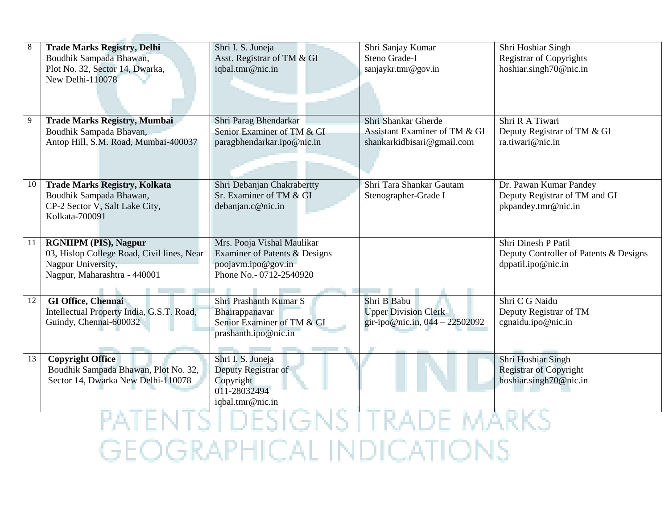| 8  | <b>Trade Marks Registry, Delhi</b>         | Shri I. S. Juneja             | Shri Sanjay Kumar              | Shri Hoshiar Singh                     |
|----|--------------------------------------------|-------------------------------|--------------------------------|----------------------------------------|
|    | Boudhik Sampada Bhawan,                    | Asst. Registrar of TM & GI    | Steno Grade-I                  | <b>Registrar of Copyrights</b>         |
|    | Plot No. 32, Sector 14, Dwarka,            | iqbal.tmr@nic.in              | sanjaykr.tmr@gov.in            | hoshiar.singh70@nic.in                 |
|    | New Delhi-110078                           |                               |                                |                                        |
|    |                                            |                               |                                |                                        |
|    |                                            |                               |                                |                                        |
| 9  | <b>Trade Marks Registry, Mumbai</b>        | Shri Parag Bhendarkar         | Shri Shankar Gherde            | Shri R A Tiwari                        |
|    | Boudhik Sampada Bhavan,                    | Senior Examiner of TM & GI    | Assistant Examiner of TM & GI  | Deputy Registrar of TM & GI            |
|    | Antop Hill, S.M. Road, Mumbai-400037       | paragbhendarkar.ipo@nic.in    | shankarkidbisari@gmail.com     | ra.tiwari@nic.in                       |
|    |                                            |                               |                                |                                        |
|    |                                            |                               |                                |                                        |
|    |                                            |                               |                                |                                        |
| 10 | <b>Trade Marks Registry, Kolkata</b>       | Shri Debanjan Chakrabertty    | Shri Tara Shankar Gautam       | Dr. Pawan Kumar Pandey                 |
|    | Boudhik Sampada Bhawan,                    | Sr. Examiner of TM & GI       | Stenographer-Grade I           | Deputy Registrar of TM and GI          |
|    | CP-2 Sector V, Salt Lake City,             | debanjan.c@nic.in             |                                | pkpandey.tmr@nic.in                    |
|    | Kolkata-700091                             |                               |                                |                                        |
|    |                                            |                               |                                |                                        |
| 11 | <b>RGNIIPM (PIS), Nagpur</b>               | Mrs. Pooja Vishal Maulikar    |                                | Shri Dinesh P Patil                    |
|    | 03, Hislop College Road, Civil lines, Near | Examiner of Patents & Designs |                                | Deputy Controller of Patents & Designs |
|    | Nagpur University,                         | poojavm.ipo@gov.in            |                                | dppatil.ipo@nic.in                     |
|    | Nagpur, Maharashtra - 440001               | Phone No. - 0712-2540920      |                                |                                        |
|    |                                            |                               |                                |                                        |
| 12 | <b>GI Office, Chennai</b>                  | Shri Prashanth Kumar S        | Shri B Babu                    | Shri C G Naidu                         |
|    | Intellectual Property India, G.S.T. Road,  | Bhairappanavar                | <b>Upper Division Clerk</b>    | Deputy Registrar of TM                 |
|    | Guindy, Chennai-600032                     | Senior Examiner of TM & GI    | gir-ipo@nic.in, 044 - 22502092 | cgnaidu.ipo@nic.in                     |
|    |                                            | prashanth.ipo@nic.in          |                                |                                        |
|    |                                            |                               |                                |                                        |
| 13 | <b>Copyright Office</b>                    | Shri I. S. Juneja             |                                | Shri Hoshiar Singh                     |
|    | Boudhik Sampada Bhawan, Plot No. 32,       | Deputy Registrar of           |                                | <b>Registrar of Copyright</b>          |
|    | Sector 14, Dwarka New Delhi-110078         | Copyright                     |                                | hoshiar.singh70@nic.in                 |
|    |                                            | 011-28032494                  |                                |                                        |
|    |                                            | iqbal.tmr@nic.in              |                                |                                        |
|    |                                            |                               |                                |                                        |
|    |                                            |                               |                                |                                        |

**Contract Contract Contract** 

**GEOGRAPHICAL INDICATIONS**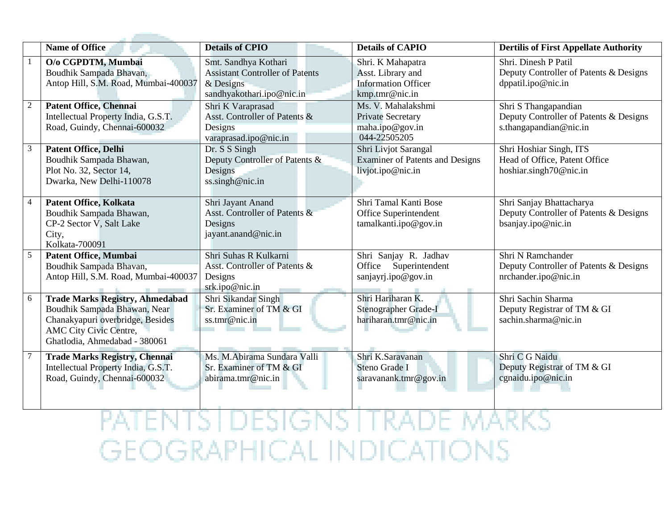|                | Name of Office                                                                                                                                                        | <b>Details of CPIO</b>                                                                 | <b>Details of CAPIO</b>                                                             | <b>Dertilis of First Appellate Authority</b>                                             |
|----------------|-----------------------------------------------------------------------------------------------------------------------------------------------------------------------|----------------------------------------------------------------------------------------|-------------------------------------------------------------------------------------|------------------------------------------------------------------------------------------|
|                | O/o CGPDTM, Mumbai<br>Boudhik Sampada Bhavan,<br>Antop Hill, S.M. Road, Mumbai-400037                                                                                 | Smt. Sandhya Kothari<br><b>Assistant Controller of Patents</b><br>$&$ Designs          | Shri. K Mahapatra<br>Asst. Library and<br><b>Information Officer</b>                | Shri. Dinesh P Patil<br>Deputy Controller of Patents & Designs<br>dppatil.ipo@nic.in     |
|                |                                                                                                                                                                       | sandhyakothari.ipo@nic.in                                                              | kmp.tmr@nic.in                                                                      |                                                                                          |
| $\overline{2}$ | <b>Patent Office, Chennai</b><br>Intellectual Property India, G.S.T.<br>Road, Guindy, Chennai-600032                                                                  | Shri K Varaprasad<br>Asst. Controller of Patents &<br>Designs<br>varaprasad.ipo@nic.in | Ms. V. Mahalakshmi<br>Private Secretary<br>maha.ipo@gov.in<br>044-22505205          | Shri S Thangapandian<br>Deputy Controller of Patents & Designs<br>s.thangapandian@nic.in |
| $\overline{3}$ | <b>Patent Office, Delhi</b><br>Boudhik Sampada Bhawan,<br>Plot No. 32, Sector 14,<br>Dwarka, New Delhi-110078                                                         | Dr. S S Singh<br>Deputy Controller of Patents &<br>Designs<br>ss.singh@nic.in          | Shri Livjot Sarangal<br><b>Examiner of Patents and Designs</b><br>livjot.ipo@nic.in | Shri Hoshiar Singh, ITS<br>Head of Office, Patent Office<br>hoshiar.singh70@nic.in       |
| $\overline{4}$ | <b>Patent Office, Kolkata</b><br>Boudhik Sampada Bhawan,<br>CP-2 Sector V, Salt Lake<br>City,<br>Kolkata-700091                                                       | Shri Jayant Anand<br>Asst. Controller of Patents &<br>Designs<br>jayant.anand@nic.in   | Shri Tamal Kanti Bose<br>Office Superintendent<br>tamalkanti.ipo@gov.in             | Shri Sanjay Bhattacharya<br>Deputy Controller of Patents & Designs<br>bsanjay.ipo@nic.in |
| $\overline{5}$ | <b>Patent Office, Mumbai</b><br>Boudhik Sampada Bhavan,<br>Antop Hill, S.M. Road, Mumbai-400037                                                                       | Shri Suhas R Kulkarni<br>Asst. Controller of Patents &<br>Designs<br>srk.ipo@nic.in    | Shri Sanjay R. Jadhav<br>Superintendent<br>Office<br>sanjayrj.ipo@gov.in            | Shri N Ramchander<br>Deputy Controller of Patents & Designs<br>nrchander.ipo@nic.in      |
| 6              | <b>Trade Marks Registry, Ahmedabad</b><br>Boudhik Sampada Bhawan, Near<br>Chanakyapuri overbridge, Besides<br>AMC City Civic Centre,<br>Ghatlodia, Ahmedabad - 380061 | Shri Sikandar Singh<br>Sr. Examiner of TM & GI<br>ss.tmr@nic.in                        | Shri Hariharan K.<br>Stenographer Grade-I<br>hariharan.tmr@nic.in                   | Shri Sachin Sharma<br>Deputy Registrar of TM & GI<br>sachin.sharma@nic.in                |
| $\overline{7}$ | <b>Trade Marks Registry, Chennai</b><br>Intellectual Property India, G.S.T.<br>Road, Guindy, Chennai-600032                                                           | Ms. M.Abirama Sundara Valli<br>Sr. Examiner of TM & GI<br>abirama.tmr@nic.in           | Shri K.Saravanan<br>Steno Grade I<br>saravanank.tmr@gov.in                          | Shri C G Naidu<br>Deputy Registrar of TM & GI<br>cgnaidu.ipo@nic.in                      |

and the contract of the con-

PATENTS | DESIGNS | TRADE MARKS **GEOGRAPHICAL INDICATIONS**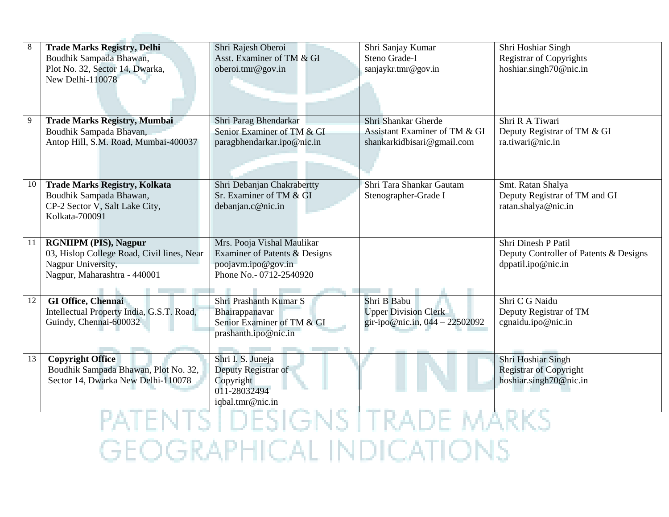| 8  | <b>Trade Marks Registry, Delhi</b><br>Boudhik Sampada Bhawan, | Shri Rajesh Oberoi<br>Asst. Examiner of TM & GI | Shri Sanjay Kumar<br>Steno Grade-I | Shri Hoshiar Singh<br><b>Registrar of Copyrights</b> |
|----|---------------------------------------------------------------|-------------------------------------------------|------------------------------------|------------------------------------------------------|
|    | Plot No. 32, Sector 14, Dwarka,<br>New Delhi-110078           | oberoi.tmr@gov.in                               | sanjaykr.tmr@gov.in                | hoshiar.singh70@nic.in                               |
| 9  | <b>Trade Marks Registry, Mumbai</b>                           | Shri Parag Bhendarkar                           | Shri Shankar Gherde                | Shri R A Tiwari                                      |
|    | Boudhik Sampada Bhavan,                                       | Senior Examiner of TM & GI                      | Assistant Examiner of TM & GI      | Deputy Registrar of TM & GI                          |
|    | Antop Hill, S.M. Road, Mumbai-400037                          | paragbhendarkar.ipo@nic.in                      | shankarkidbisari@gmail.com         | ra.tiwari@nic.in                                     |
| 10 | <b>Trade Marks Registry, Kolkata</b>                          | Shri Debanjan Chakrabertty                      | Shri Tara Shankar Gautam           | Smt. Ratan Shalya                                    |
|    | Boudhik Sampada Bhawan,                                       | Sr. Examiner of TM & GI                         | Stenographer-Grade I               | Deputy Registrar of TM and GI                        |
|    | CP-2 Sector V, Salt Lake City,                                | debanjan.c@nic.in                               |                                    | ratan.shalya@nic.in                                  |
|    | Kolkata-700091                                                |                                                 |                                    |                                                      |
|    |                                                               |                                                 |                                    |                                                      |
| 11 | <b>RGNIIPM (PIS), Nagpur</b>                                  | Mrs. Pooja Vishal Maulikar                      |                                    | Shri Dinesh P Patil                                  |
|    | 03, Hislop College Road, Civil lines, Near                    | Examiner of Patents & Designs                   |                                    | Deputy Controller of Patents & Designs               |
|    | Nagpur University,                                            | poojavm.ipo@gov.in                              |                                    | dppatil.ipo@nic.in                                   |
|    | Nagpur, Maharashtra - 440001                                  | Phone No.- 0712-2540920                         |                                    |                                                      |
|    |                                                               |                                                 |                                    |                                                      |
| 12 | <b>GI Office, Chennai</b>                                     | Shri Prashanth Kumar S                          | Shri B Babu                        | Shri C G Naidu                                       |
|    | Intellectual Property India, G.S.T. Road,                     | Bhairappanavar                                  | <b>Upper Division Clerk</b>        | Deputy Registrar of TM                               |
|    | Guindy, Chennai-600032                                        | Senior Examiner of TM & GI                      | gir-ipo@nic.in, 044 - 22502092     | cgnaidu.ipo@nic.in                                   |
|    |                                                               | prashanth.ipo@nic.in                            |                                    |                                                      |
|    |                                                               |                                                 |                                    |                                                      |
| 13 | <b>Copyright Office</b>                                       | Shri I. S. Juneja                               |                                    | Shri Hoshiar Singh                                   |
|    | Boudhik Sampada Bhawan, Plot No. 32,                          | Deputy Registrar of                             |                                    | <b>Registrar of Copyright</b>                        |
|    | Sector 14, Dwarka New Delhi-110078                            | Copyright                                       |                                    | hoshiar.singh70@nic.in                               |
|    |                                                               | 011-28032494                                    |                                    |                                                      |
|    |                                                               | iqbal.tmr@nic.in                                |                                    |                                                      |
|    |                                                               |                                                 |                                    |                                                      |

**Contract Contract Contract** 

**GEOGRAPHICAL INDICATIONS**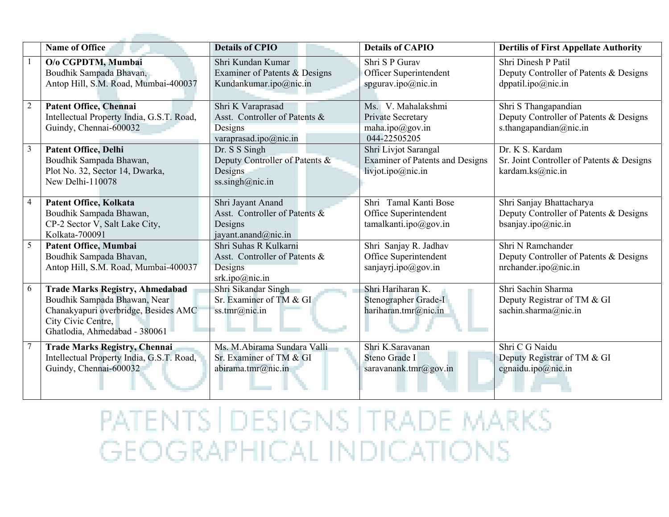|                | <b>Name of Office</b>                                                                                                                                                 | <b>Details of CPIO</b>                                                                 | <b>Details of CAPIO</b>                                                             | <b>Dertilis of First Appellate Authority</b>                                             |
|----------------|-----------------------------------------------------------------------------------------------------------------------------------------------------------------------|----------------------------------------------------------------------------------------|-------------------------------------------------------------------------------------|------------------------------------------------------------------------------------------|
|                | O/o CGPDTM, Mumbai<br>Boudhik Sampada Bhavan,<br>Antop Hill, S.M. Road, Mumbai-400037                                                                                 | Shri Kundan Kumar<br>Examiner of Patents & Designs<br>Kundankumar.ipo@nic.in           | Shri S P Gurav<br>Officer Superintendent<br>spgurav.ipo@nic.in                      | Shri Dinesh P Patil<br>Deputy Controller of Patents & Designs<br>dppatil.ipo@nic.in      |
| $\overline{2}$ | <b>Patent Office, Chennai</b><br>Intellectual Property India, G.S.T. Road,<br>Guindy, Chennai-600032                                                                  | Shri K Varaprasad<br>Asst. Controller of Patents &<br>Designs<br>varaprasad.ipo@nic.in | Ms. V. Mahalakshmi<br>Private Secretary<br>maha.ipo@gov.in<br>044-22505205          | Shri S Thangapandian<br>Deputy Controller of Patents & Designs<br>s.thangapandian@nic.in |
| $\mathfrak{Z}$ | <b>Patent Office, Delhi</b><br>Boudhik Sampada Bhawan,<br>Plot No. 32, Sector 14, Dwarka,<br>New Delhi-110078                                                         | Dr. S S Singh<br>Deputy Controller of Patents &<br>Designs<br>ss.singh@nic.in          | Shri Livjot Sarangal<br><b>Examiner of Patents and Designs</b><br>livjot.ipo@nic.in | Dr. K S. Kardam<br>Sr. Joint Controller of Patents & Designs<br>kardam.ks@nic.in         |
| $\overline{4}$ | Patent Office, Kolkata<br>Boudhik Sampada Bhawan,<br>CP-2 Sector V, Salt Lake City,<br>Kolkata-700091                                                                 | Shri Jayant Anand<br>Asst. Controller of Patents &<br>Designs<br>jayant.anand@nic.in   | Shri Tamal Kanti Bose<br>Office Superintendent<br>tamalkanti.ipo@gov.in             | Shri Sanjay Bhattacharya<br>Deputy Controller of Patents & Designs<br>bsanjay.ipo@nic.in |
| 5              | <b>Patent Office, Mumbai</b><br>Boudhik Sampada Bhavan,<br>Antop Hill, S.M. Road, Mumbai-400037                                                                       | Shri Suhas R Kulkarni<br>Asst. Controller of Patents &<br>Designs<br>srk.ipo@nic.in    | Shri Sanjay R. Jadhav<br>Office Superintendent<br>sanjayrj.ipo@gov.in               | Shri N Ramchander<br>Deputy Controller of Patents & Designs<br>nrchander.ipo@nic.in      |
| 6              | <b>Trade Marks Registry, Ahmedabad</b><br>Boudhik Sampada Bhawan, Near<br>Chanakyapuri overbridge, Besides AMC<br>City Civic Centre,<br>Ghatlodia, Ahmedabad - 380061 | Shri Sikandar Singh<br>Sr. Examiner of TM & GI<br>ss.tmr@nic.in                        | Shri Hariharan K.<br>Stenographer Grade-I<br>hariharan.tmr@nic.in                   | Shri Sachin Sharma<br>Deputy Registrar of TM & GI<br>sachin.sharma@nic.in                |
|                | <b>Trade Marks Registry, Chennai</b><br>Intellectual Property India, G.S.T. Road,<br>Guindy, Chennai-600032                                                           | Ms. M.Abirama Sundara Valli<br>Sr. Examiner of TM & GI<br>abirama.tmr@nic.in           | Shri K.Saravanan<br>Steno Grade I<br>saravanank.tmr@gov.in                          | Shri C G Naidu<br>Deputy Registrar of TM & GI<br>cgnaidu.ipo@nic.in                      |

PATENTS | DESIGNS | TRADE MARKS **GEOGRAPHICAL INDICATIONS**